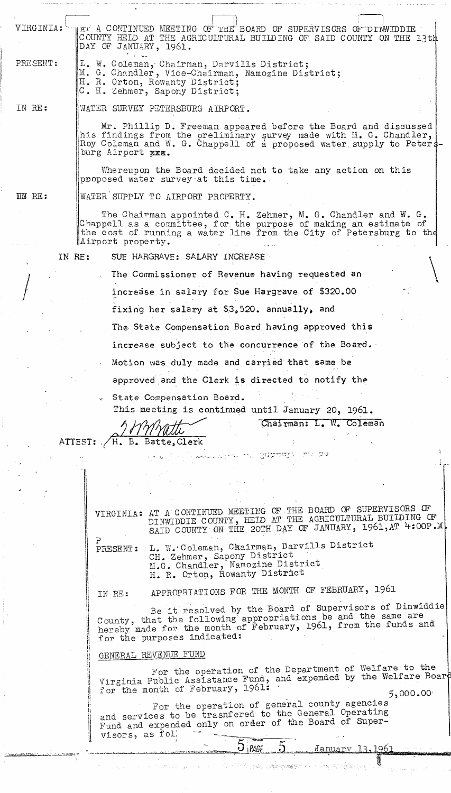| VIRGINIA:     | HAT A CONTINUED MEETING OF THE BOARD OF SUPERVISORS OF DINWIDDIE<br>COUNTY HELD AT THE AGRICULTURAL BUILDING OF SAID COUNTY ON THE 13th<br>DAY OF JANUARY, 1961.                                                                  |  |  |  |  |  |
|---------------|-----------------------------------------------------------------------------------------------------------------------------------------------------------------------------------------------------------------------------------|--|--|--|--|--|
| PRESENT:      | L. W. Coleman, Chairman, Darvills District;<br>M. G. Chandler, Vice-Chairman, Namozine District;<br>H. R. Orton, Rowanty District;<br>C. H. Zehmer, Sapony District;                                                              |  |  |  |  |  |
| IN RE:        | WATER SURVEY PETERSBURG AIRPORT.                                                                                                                                                                                                  |  |  |  |  |  |
|               | Mr. Phillip D. Freeman appeared before the Board and discussed<br>his findings from the preliminary survey made with M. G. Chandler,<br>Roy Coleman and W. G. Chappell of a proposed water supply to Peters-<br>burg Airport XXX. |  |  |  |  |  |
|               | Whereupon the Board decided not to take any action on this<br>proposed water survey at this time.                                                                                                                                 |  |  |  |  |  |
| <b>IN RE:</b> | WATER SUPPLY TO AIRPORT PROPERTY.                                                                                                                                                                                                 |  |  |  |  |  |
|               | The Chairman appointed C. H. Zehmer, M. G. Chandler and W. G.<br>Chappell as a committee, for the purpose of making an estimate of<br>the cost of running a water line from the City of Petersburg to the<br>Airport property.    |  |  |  |  |  |
| IN RE:        | SUE HARGRAVE: SALARY INCREASE                                                                                                                                                                                                     |  |  |  |  |  |
|               | The Commissioner of Revenue having requested an                                                                                                                                                                                   |  |  |  |  |  |
|               | increase in salary for Sue Hargrave of \$320.00                                                                                                                                                                                   |  |  |  |  |  |
|               | fixing her salary at \$3,520. annually, and                                                                                                                                                                                       |  |  |  |  |  |
|               | The State Compensation Board having approved this                                                                                                                                                                                 |  |  |  |  |  |
|               | increase subject to the concurrence of the Board.                                                                                                                                                                                 |  |  |  |  |  |
|               | Motion was duly made and carried that same be                                                                                                                                                                                     |  |  |  |  |  |
|               |                                                                                                                                                                                                                                   |  |  |  |  |  |
|               | approved and the Clerk is directed to notify the                                                                                                                                                                                  |  |  |  |  |  |
|               | State Compensation Board.<br>This meeting is continued until January 20, 1961.                                                                                                                                                    |  |  |  |  |  |
|               | Chairman: L. W. Coleman                                                                                                                                                                                                           |  |  |  |  |  |
|               | H. B. Batte, Clerk<br>ATTEST:                                                                                                                                                                                                     |  |  |  |  |  |
|               | ਾਂ ਅ <sub>ਪੀਲਿਆ</sub> ਂ ਅਦਾਲਤ ਬਰਾਕਸ ਵਾਰ, ਉ <b>ਪੀਲੰਸਸੁ</b> ਰ ( ਡਾ) ਉੱਤੇ                                                                                                                                                            |  |  |  |  |  |
|               |                                                                                                                                                                                                                                   |  |  |  |  |  |
|               |                                                                                                                                                                                                                                   |  |  |  |  |  |
|               | VIRGINIA: AT A CONTINUED MEETING OF THE BOARD OF SUPERVISORS OF                                                                                                                                                                   |  |  |  |  |  |
|               | DINWIDDIE COUNTY, HELD AT THE AGRICULTURAL BUILDING OF<br>SAID COUNTY ON THE 20TH DAY OF JANUARY, 1961, AT 4:00P.M.                                                                                                               |  |  |  |  |  |
|               | L. W. Coleman, Chairman, Darvills District<br>PRESENT:<br>CH. Zehmer, Sapony District<br>M.G. Chandler, Namozine District<br>H. R. Orton, Rowanty District                                                                        |  |  |  |  |  |
|               | APPROPRIATIONS FOR THE MONTH OF FEBRUARY, 1961<br>IN RE:                                                                                                                                                                          |  |  |  |  |  |
|               | Be it resolved by the Board of Supervisors of Dinwiddie                                                                                                                                                                           |  |  |  |  |  |
|               | County, that the following appropriations be and the same are<br>hereby made for the month of February, 1961, from the funds and<br>for the purposes indicated:                                                                   |  |  |  |  |  |
|               | GENERAL REVENUE FUND                                                                                                                                                                                                              |  |  |  |  |  |
|               | For the operation of the Department of Welfare to the<br>Virginia Public Assistance Fund, and expemded by the Welfare Boar<br>for the month of February, 1961:<br>5,000.00                                                        |  |  |  |  |  |
|               | For the operation of general county agencies<br>and services to be trasnfered to the General Operating<br>Fund and expended only on order of the Board of Super-<br>visors, as fol.                                               |  |  |  |  |  |
|               | $O$   PAGE<br>January 13, 1961                                                                                                                                                                                                    |  |  |  |  |  |
|               | te de la companya de la companya de la companya de la companya de la companya de la companya de la companya de<br>La companya de la companya de la companya de la companya de la companya de la companya de la companya de la co  |  |  |  |  |  |
|               |                                                                                                                                                                                                                                   |  |  |  |  |  |

.. \_ .\_~ \_ ~~ \_\_\_\_ . *\_\_* ~~ *..* \_~--L. *\_\_* \_ . \_\_ .